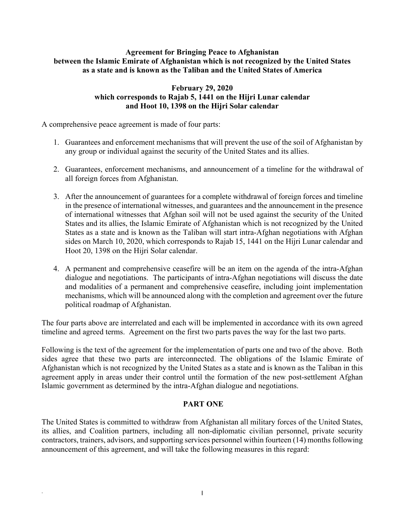### **Agreement for Bringing Peace to Afghanistan between the Islamic Emirate of Afghanistan which is not recognized by the United States as a state and is known as the Taliban and the United States of America**

# **February 29, 2020 which corresponds to Rajab 5, 1441 on the Hijri Lunar calendar and Hoot 10, 1398 on the Hijri Solar calendar**

A comprehensive peace agreement is made of four parts:

- 1. Guarantees and enforcement mechanisms that will prevent the use of the soil of Afghanistan by any group or individual against the security of the United States and its allies.
- 2. Guarantees, enforcement mechanisms, and announcement of a timeline for the withdrawal of all foreign forces from Afghanistan.
- 3. After the announcement of guarantees for a complete withdrawal of foreign forces and timeline in the presence of international witnesses, and guarantees and the announcement in the presence of international witnesses that Afghan soil will not be used against the security of the United States and its allies, the Islamic Emirate of Afghanistan which is not recognized by the United States as a state and is known as the Taliban will start intra-Afghan negotiations with Afghan sides on March 10, 2020, which corresponds to Rajab 15, 1441 on the Hijri Lunar calendar and Hoot 20, 1398 on the Hijri Solar calendar.
- 4. A permanent and comprehensive ceasefire will be an item on the agenda of the intra-Afghan dialogue and negotiations. The participants of intra-Afghan negotiations will discuss the date and modalities of a permanent and comprehensive ceasefire, including joint implementation mechanisms, which will be announced along with the completion and agreement over the future political roadmap of Afghanistan.

The four parts above are interrelated and each will be implemented in accordance with its own agreed timeline and agreed terms. Agreement on the first two parts paves the way for the last two parts.

Following is the text of the agreement for the implementation of parts one and two of the above. Both sides agree that these two parts are interconnected. The obligations of the Islamic Emirate of Afghanistan which is not recognized by the United States as a state and is known as the Taliban in this agreement apply in areas under their control until the formation of the new post-settlement Afghan Islamic government as determined by the intra-Afghan dialogue and negotiations.

# **PART ONE**

The United States is committed to withdraw from Afghanistan all military forces of the United States, its allies, and Coalition partners, including all non-diplomatic civilian personnel, private security contractors, trainers, advisors, and supporting services personnel within fourteen (14) months following announcement of this agreement, and will take the following measures in this regard: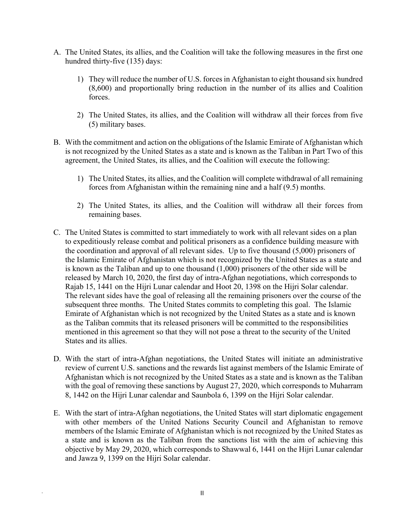- A. The United States, its allies, and the Coalition will take the following measures in the first one hundred thirty-five (135) days:
	- 1) They will reduce the number of U.S. forces in Afghanistan to eight thousand six hundred (8,600) and proportionally bring reduction in the number of its allies and Coalition forces.
	- 2) The United States, its allies, and the Coalition will withdraw all their forces from five (5) military bases.
- B. With the commitment and action on the obligations of the Islamic Emirate of Afghanistan which is not recognized by the United States as a state and is known as the Taliban in Part Two of this agreement, the United States, its allies, and the Coalition will execute the following:
	- 1) The United States, its allies, and the Coalition will complete withdrawal of all remaining forces from Afghanistan within the remaining nine and a half (9.5) months.
	- 2) The United States, its allies, and the Coalition will withdraw all their forces from remaining bases.
- C. The United States is committed to start immediately to work with all relevant sides on a plan to expeditiously release combat and political prisoners as a confidence building measure with the coordination and approval of all relevant sides. Up to five thousand (5,000) prisoners of the Islamic Emirate of Afghanistan which is not recognized by the United States as a state and is known as the Taliban and up to one thousand (1,000) prisoners of the other side will be released by March 10, 2020, the first day of intra-Afghan negotiations, which corresponds to Rajab 15, 1441 on the Hijri Lunar calendar and Hoot 20, 1398 on the Hijri Solar calendar. The relevant sides have the goal of releasing all the remaining prisoners over the course of the subsequent three months. The United States commits to completing this goal. The Islamic Emirate of Afghanistan which is not recognized by the United States as a state and is known as the Taliban commits that its released prisoners will be committed to the responsibilities mentioned in this agreement so that they will not pose a threat to the security of the United States and its allies.
- D. With the start of intra-Afghan negotiations, the United States will initiate an administrative review of current U.S. sanctions and the rewards list against members of the Islamic Emirate of Afghanistan which is not recognized by the United States as a state and is known as the Taliban with the goal of removing these sanctions by August 27, 2020, which corresponds to Muharram 8, 1442 on the Hijri Lunar calendar and Saunbola 6, 1399 on the Hijri Solar calendar.
- E. With the start of intra-Afghan negotiations, the United States will start diplomatic engagement with other members of the United Nations Security Council and Afghanistan to remove members of the Islamic Emirate of Afghanistan which is not recognized by the United States as a state and is known as the Taliban from the sanctions list with the aim of achieving this objective by May 29, 2020, which corresponds to Shawwal 6, 1441 on the Hijri Lunar calendar and Jawza 9, 1399 on the Hijri Solar calendar.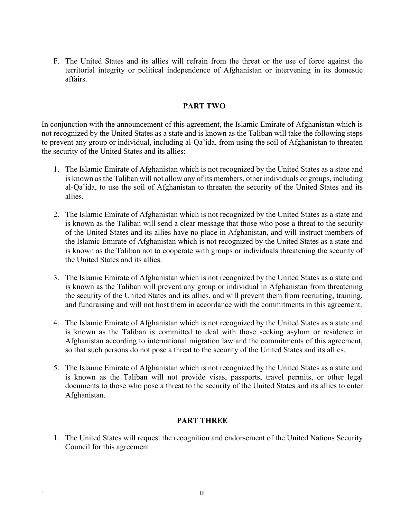F. The United States and its allies will refrain from the threat or the use of force against the territorial integrity or political independence of Afghanistan or intervening in its domestic affairs.

#### **PART TWO**

In conjunction with the announcement of this agreement, the Islamic Emirate of Afghanistan which is not recognized by the United States as a state and is known as the Taliban will take the following steps to prevent any group or individual, including al-Qa'ida, from using the soil of Afghanistan to threaten the security of the United States and its allies:

- 1. The Islamic Emirate of Afghanistan which is not recognized by the United States as a state and is known as the Taliban will not allow any of its members, other individuals or groups, including al-Qa'ida, to use the soil of Afghanistan to threaten the security of the United States and its allies.
- 2. The Islamic Emirate of Afghanistan which is not recognized by the United States as a state and is known as the Taliban will send a clear message that those who pose a threat to the security of the United States and its allies have no place in Afghanistan, and will instruct members of the Islamic Emirate of Afghanistan which is not recognized by the United States as a state and is known as the Taliban not to cooperate with groups or individuals threatening the security of the United States and its allies.
- 3. The Islamic Emirate of Afghanistan which is not recognized by the United States as a state and is known as the Taliban will prevent any group or individual in Afghanistan from threatening the security of the United States and its allies, and will prevent them from recruiting, training, and fundraising and will not host them in accordance with the commitments in this agreement.
- 4. The Islamic Emirate of Afghanistan which is not recognized by the United States as a state and is known as the Taliban is committed to deal with those seeking asylum or residence in Afghanistan according to international migration law and the commitments of this agreement, so that such persons do not pose a threat to the security of the United States and its allies.
- 5. The Islamic Emirate of Afghanistan which is not recognized by the United States as a state and is known as the Taliban will not provide visas, passports, travel permits, or other legal documents to those who pose a threat to the security of the United States and its allies to enter Afghanistan.

### **PART THREE**

1. The United States will request the recognition and endorsement of the United Nations Security Council for this agreement.